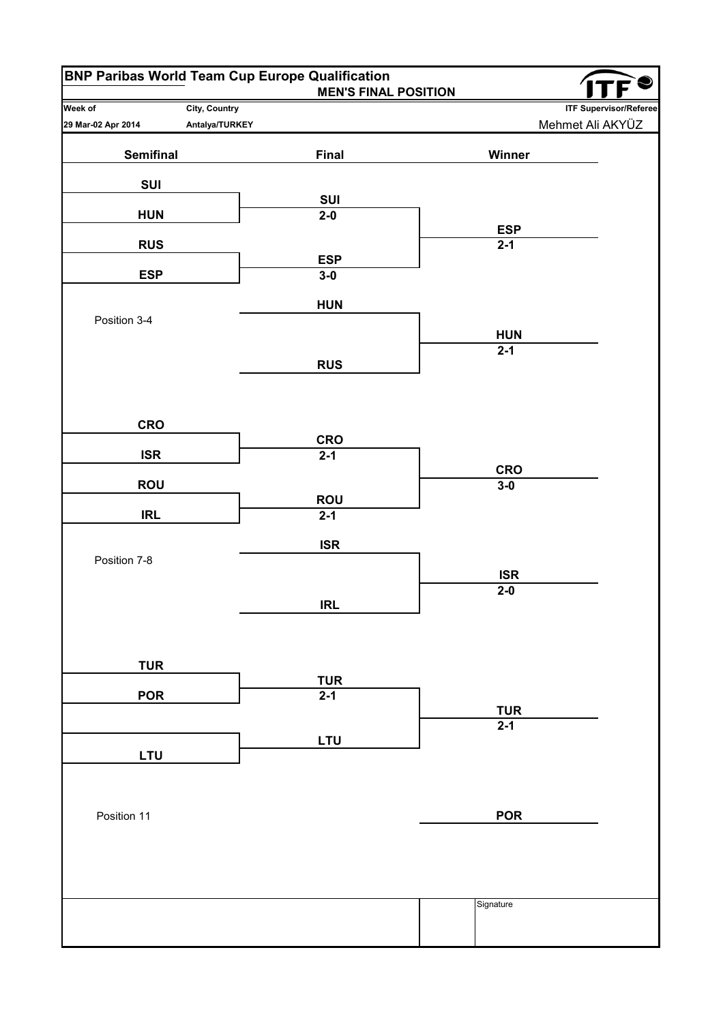